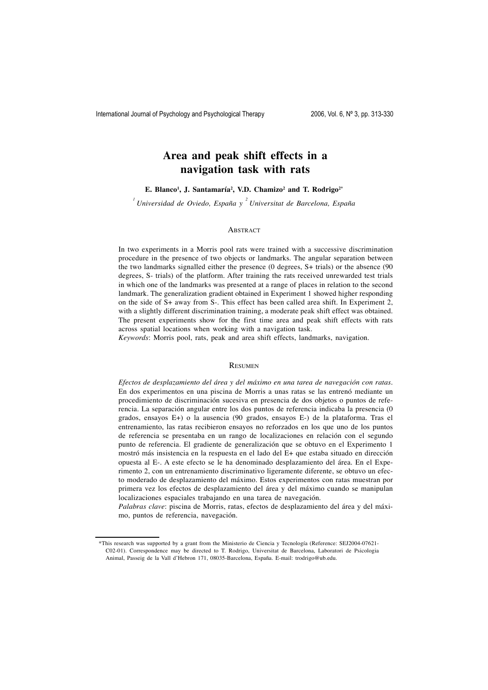# **Area and peak shift effects in a navigation task with rats**

**E. Blanco1 , J. Santamaría2 , V.D. Chamizo2 and T. Rodrigo2\***

*1 Universidad de Oviedo, España y <sup>2</sup> Universitat de Barcelona, España*

# **ABSTRACT**

In two experiments in a Morris pool rats were trained with a successive discrimination procedure in the presence of two objects or landmarks. The angular separation between the two landmarks signalled either the presence (0 degrees, S+ trials) or the absence (90 degrees, S- trials) of the platform. After training the rats received unrewarded test trials in which one of the landmarks was presented at a range of places in relation to the second landmark. The generalization gradient obtained in Experiment 1 showed higher responding on the side of S+ away from S-. This effect has been called area shift. In Experiment 2, with a slightly different discrimination training, a moderate peak shift effect was obtained. The present experiments show for the first time area and peak shift effects with rats across spatial locations when working with a navigation task.

*Keywords*: Morris pool, rats, peak and area shift effects, landmarks, navigation.

#### **RESUMEN**

*Efectos de desplazamiento del área y del máximo en una tarea de navegación con ratas.* En dos experimentos en una piscina de Morris a unas ratas se las entrenó mediante un procedimiento de discriminación sucesiva en presencia de dos objetos o puntos de referencia. La separación angular entre los dos puntos de referencia indicaba la presencia (0 grados, ensayos E+) o la ausencia (90 grados, ensayos E-) de la plataforma. Tras el entrenamiento, las ratas recibieron ensayos no reforzados en los que uno de los puntos de referencia se presentaba en un rango de localizaciones en relación con el segundo punto de referencia. El gradiente de generalización que se obtuvo en el Experimento 1 mostró más insistencia en la respuesta en el lado del E+ que estaba situado en dirección opuesta al E-. A este efecto se le ha denominado desplazamiento del área. En el Experimento 2, con un entrenamiento discriminativo ligeramente diferente, se obtuvo un efecto moderado de desplazamiento del máximo. Estos experimentos con ratas muestran por primera vez los efectos de desplazamiento del área y del máximo cuando se manipulan localizaciones espaciales trabajando en una tarea de navegación.

*Palabras clave*: piscina de Morris, ratas, efectos de desplazamiento del área y del máximo, puntos de referencia, navegación.

<sup>\*</sup>This research was supported by a grant from the Ministerio de Ciencia y Tecnología (Reference: SEJ2004-07621- C02-01). Correspondence may be directed to T. Rodrigo, Universitat de Barcelona, Laboratori de Psicologia Animal, Passeig de la Vall d'Hebron 171, 08035-Barcelona, España. E-mail: trodrigo@ub.edu.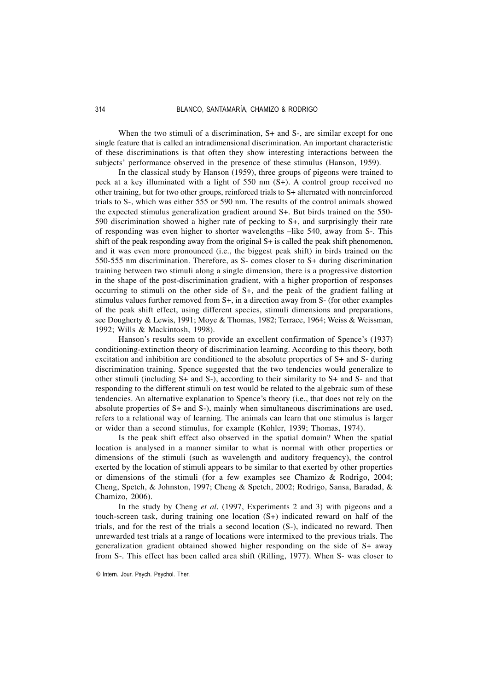When the two stimuli of a discrimination, S+ and S-, are similar except for one single feature that is called an intradimensional discrimination. An important characteristic of these discriminations is that often they show interesting interactions between the subjects' performance observed in the presence of these stimulus (Hanson, 1959).

In the classical study by Hanson (1959), three groups of pigeons were trained to peck at a key illuminated with a light of 550 nm (S+). A control group received no other training, but for two other groups, reinforced trials to S+ alternated with nonreinforced trials to S-, which was either 555 or 590 nm. The results of the control animals showed the expected stimulus generalization gradient around S+. But birds trained on the 550- 590 discrimination showed a higher rate of pecking to S+, and surprisingly their rate of responding was even higher to shorter wavelengths –like 540, away from S-. This shift of the peak responding away from the original  $S<sub>+</sub>$  is called the peak shift phenomenon, and it was even more pronounced (i.e., the biggest peak shift) in birds trained on the 550-555 nm discrimination. Therefore, as S- comes closer to S+ during discrimination training between two stimuli along a single dimension, there is a progressive distortion in the shape of the post-discrimination gradient, with a higher proportion of responses occurring to stimuli on the other side of S+, and the peak of the gradient falling at stimulus values further removed from S+, in a direction away from S- (for other examples of the peak shift effect, using different species, stimuli dimensions and preparations, see Dougherty & Lewis, 1991; Moye & Thomas, 1982; Terrace, 1964; Weiss & Weissman, 1992; Wills & Mackintosh, 1998).

Hanson's results seem to provide an excellent confirmation of Spence's (1937) conditioning-extinction theory of discrimination learning. According to this theory, both excitation and inhibition are conditioned to the absolute properties of S+ and S- during discrimination training. Spence suggested that the two tendencies would generalize to other stimuli (including S+ and S-), according to their similarity to S+ and S- and that responding to the different stimuli on test would be related to the algebraic sum of these tendencies. An alternative explanation to Spence's theory (i.e., that does not rely on the absolute properties of S+ and S-), mainly when simultaneous discriminations are used, refers to a relational way of learning. The animals can learn that one stimulus is larger or wider than a second stimulus, for example (Kohler, 1939; Thomas, 1974).

Is the peak shift effect also observed in the spatial domain? When the spatial location is analysed in a manner similar to what is normal with other properties or dimensions of the stimuli (such as wavelength and auditory frequency), the control exerted by the location of stimuli appears to be similar to that exerted by other properties or dimensions of the stimuli (for a few examples see Chamizo & Rodrigo, 2004; Cheng, Spetch, & Johnston, 1997; Cheng & Spetch, 2002; Rodrigo, Sansa, Baradad, & Chamizo, 2006).

In the study by Cheng *et al.* (1997, Experiments 2 and 3) with pigeons and a touch-screen task, during training one location (S+) indicated reward on half of the trials, and for the rest of the trials a second location (S-), indicated no reward. Then unrewarded test trials at a range of locations were intermixed to the previous trials. The generalization gradient obtained showed higher responding on the side of S+ away from S-. This effect has been called area shift (Rilling, 1977). When S- was closer to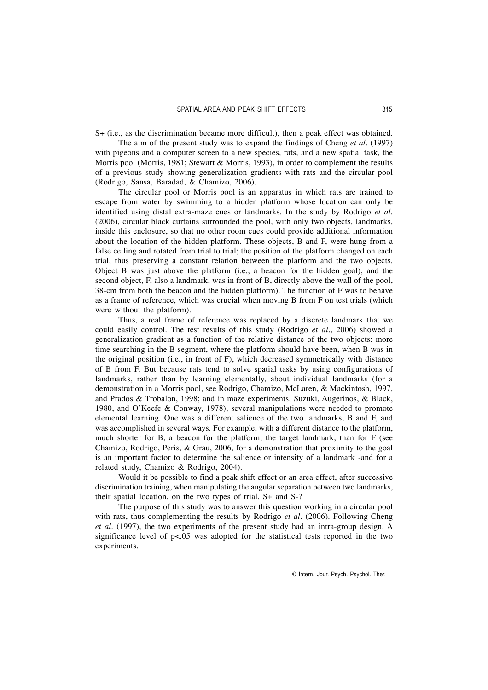S+ (i.e., as the discrimination became more difficult), then a peak effect was obtained.

The aim of the present study was to expand the findings of Cheng *et al.* (1997) with pigeons and a computer screen to a new species, rats, and a new spatial task, the Morris pool (Morris, 1981; Stewart & Morris, 1993), in order to complement the results of a previous study showing generalization gradients with rats and the circular pool (Rodrigo, Sansa, Baradad, & Chamizo, 2006).

The circular pool or Morris pool is an apparatus in which rats are trained to escape from water by swimming to a hidden platform whose location can only be identified using distal extra-maze cues or landmarks. In the study by Rodrigo *et al.* (2006), circular black curtains surrounded the pool, with only two objects, landmarks, inside this enclosure, so that no other room cues could provide additional information about the location of the hidden platform. These objects, B and F, were hung from a false ceiling and rotated from trial to trial; the position of the platform changed on each trial, thus preserving a constant relation between the platform and the two objects. Object B was just above the platform (i.e., a beacon for the hidden goal), and the second object, F, also a landmark, was in front of B, directly above the wall of the pool, 38-cm from both the beacon and the hidden platform). The function of F was to behave as a frame of reference, which was crucial when moving B from F on test trials (which were without the platform).

Thus, a real frame of reference was replaced by a discrete landmark that we could easily control. The test results of this study (Rodrigo *et al.*, 2006) showed a generalization gradient as a function of the relative distance of the two objects: more time searching in the B segment, where the platform should have been, when B was in the original position (i.e., in front of F), which decreased symmetrically with distance of B from F. But because rats tend to solve spatial tasks by using configurations of landmarks, rather than by learning elementally, about individual landmarks (for a demonstration in a Morris pool, see Rodrigo, Chamizo, McLaren, & Mackintosh, 1997, and Prados & Trobalon, 1998; and in maze experiments, Suzuki, Augerinos, & Black, 1980, and O'Keefe & Conway, 1978), several manipulations were needed to promote elemental learning. One was a different salience of the two landmarks, B and F, and was accomplished in several ways. For example, with a different distance to the platform, much shorter for B, a beacon for the platform, the target landmark, than for F (see Chamizo, Rodrigo, Peris, & Grau, 2006, for a demonstration that proximity to the goal is an important factor to determine the salience or intensity of a landmark -and for a related study, Chamizo & Rodrigo, 2004).

Would it be possible to find a peak shift effect or an area effect, after successive discrimination training, when manipulating the angular separation between two landmarks, their spatial location, on the two types of trial, S+ and S-?

The purpose of this study was to answer this question working in a circular pool with rats, thus complementing the results by Rodrigo *et al.* (2006). Following Cheng *et al.* (1997), the two experiments of the present study had an intra-group design. A significance level of  $p<0.05$  was adopted for the statistical tests reported in the two experiments.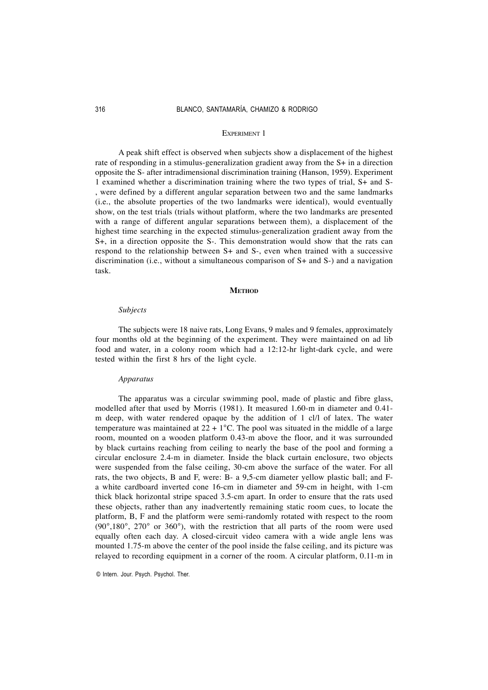#### EXPERIMENT 1

A peak shift effect is observed when subjects show a displacement of the highest rate of responding in a stimulus-generalization gradient away from the S+ in a direction opposite the S- after intradimensional discrimination training (Hanson, 1959). Experiment 1 examined whether a discrimination training where the two types of trial, S+ and S- , were defined by a different angular separation between two and the same landmarks (i.e., the absolute properties of the two landmarks were identical), would eventually show, on the test trials (trials without platform, where the two landmarks are presented with a range of different angular separations between them), a displacement of the highest time searching in the expected stimulus-generalization gradient away from the S+, in a direction opposite the S-. This demonstration would show that the rats can respond to the relationship between S+ and S-, even when trained with a successive discrimination (i.e., without a simultaneous comparison of S+ and S-) and a navigation task.

## **METHOD**

#### *Subjects*

The subjects were 18 naive rats, Long Evans, 9 males and 9 females, approximately four months old at the beginning of the experiment. They were maintained on ad lib food and water, in a colony room which had a 12:12-hr light-dark cycle, and were tested within the first 8 hrs of the light cycle.

#### *Apparatus*

The apparatus was a circular swimming pool, made of plastic and fibre glass, modelled after that used by Morris (1981). It measured 1.60-m in diameter and 0.41 m deep, with water rendered opaque by the addition of 1 cl/l of latex. The water temperature was maintained at  $22 + 1$ °C. The pool was situated in the middle of a large room, mounted on a wooden platform 0.43-m above the floor, and it was surrounded by black curtains reaching from ceiling to nearly the base of the pool and forming a circular enclosure 2.4-m in diameter. Inside the black curtain enclosure, two objects were suspended from the false ceiling, 30-cm above the surface of the water. For all rats, the two objects, B and F, were: B- a 9,5-cm diameter yellow plastic ball; and Fa white cardboard inverted cone 16-cm in diameter and 59-cm in height, with 1-cm thick black horizontal stripe spaced 3.5-cm apart. In order to ensure that the rats used these objects, rather than any inadvertently remaining static room cues, to locate the platform, B, F and the platform were semi-randomly rotated with respect to the room  $(90^\circ, 180^\circ, 270^\circ \text{ or } 360^\circ)$ , with the restriction that all parts of the room were used equally often each day. A closed-circuit video camera with a wide angle lens was mounted 1.75-m above the center of the pool inside the false ceiling, and its picture was relayed to recording equipment in a corner of the room. A circular platform, 0.11-m in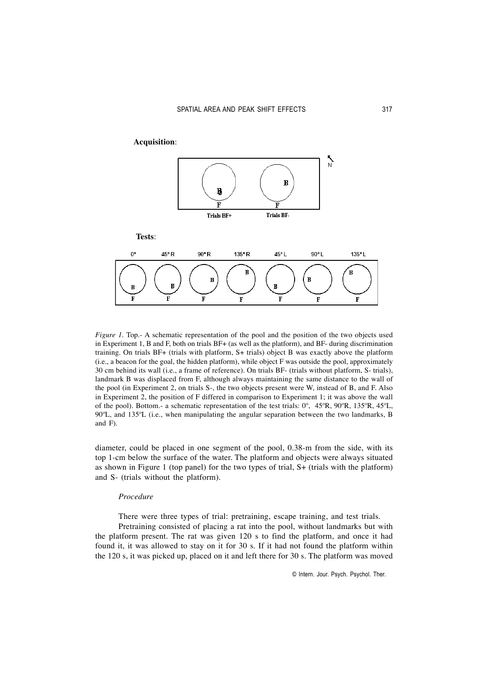

*Figure 1*. Top.- A schematic representation of the pool and the position of the two objects used in Experiment 1, B and F, both on trials BF+ (as well as the platform), and BF- during discrimination training. On trials BF+ (trials with platform, S+ trials) object B was exactly above the platform (i.e., a beacon for the goal, the hidden platform), while object F was outside the pool, approximately 30 cm behind its wall (i.e., a frame of reference). On trials BF- (trials without platform, S- trials), landmark B was displaced from F, although always maintaining the same distance to the wall of the pool (in Experiment 2, on trials S-, the two objects present were W, instead of B, and F. Also in Experiment 2, the position of F differed in comparison to Experiment 1; it was above the wall of the pool). Bottom.- a schematic representation of the test trials: 0º, 45ºR, 90ºR, 135ºR, 45ºL, 90ºL, and 135ºL (i.e., when manipulating the angular separation between the two landmarks, B and F).

diameter, could be placed in one segment of the pool, 0.38-m from the side, with its top 1-cm below the surface of the water. The platform and objects were always situated as shown in Figure 1 (top panel) for the two types of trial, S+ (trials with the platform) and S- (trials without the platform).

# *Procedure*

There were three types of trial: pretraining, escape training, and test trials.

Pretraining consisted of placing a rat into the pool, without landmarks but with the platform present. The rat was given 120 s to find the platform, and once it had found it, it was allowed to stay on it for 30 s. If it had not found the platform within the 120 s, it was picked up, placed on it and left there for 30 s. The platform was moved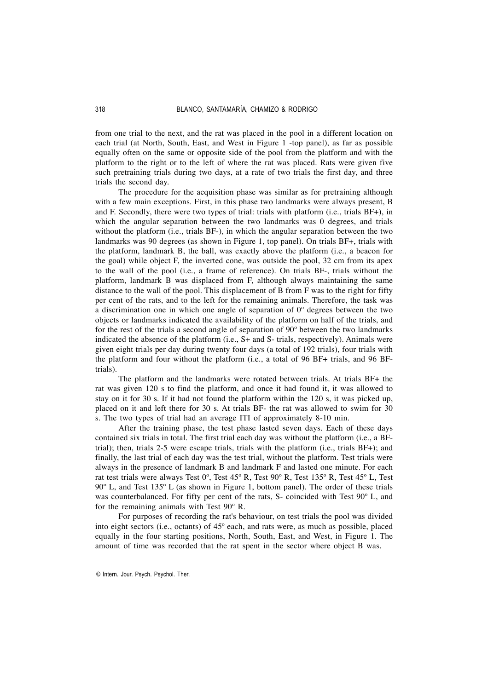from one trial to the next, and the rat was placed in the pool in a different location on each trial (at North, South, East, and West in Figure 1 -top panel), as far as possible equally often on the same or opposite side of the pool from the platform and with the platform to the right or to the left of where the rat was placed. Rats were given five such pretraining trials during two days, at a rate of two trials the first day, and three trials the second day.

The procedure for the acquisition phase was similar as for pretraining although with a few main exceptions. First, in this phase two landmarks were always present, B and F. Secondly, there were two types of trial: trials with platform (i.e., trials BF+), in which the angular separation between the two landmarks was 0 degrees, and trials without the platform (i.e., trials BF-), in which the angular separation between the two landmarks was 90 degrees (as shown in Figure 1, top panel). On trials BF+, trials with the platform, landmark B, the ball, was exactly above the platform (i.e., a beacon for the goal) while object F, the inverted cone, was outside the pool, 32 cm from its apex to the wall of the pool (i.e., a frame of reference). On trials BF-, trials without the platform, landmark B was displaced from F, although always maintaining the same distance to the wall of the pool. This displacement of B from F was to the right for fifty per cent of the rats, and to the left for the remaining animals. Therefore, the task was a discrimination one in which one angle of separation of 0º degrees between the two objects or landmarks indicated the availability of the platform on half of the trials, and for the rest of the trials a second angle of separation of 90º between the two landmarks indicated the absence of the platform (i.e., S+ and S- trials, respectively). Animals were given eight trials per day during twenty four days (a total of 192 trials), four trials with the platform and four without the platform (i.e., a total of 96 BF+ trials, and 96 BFtrials).

The platform and the landmarks were rotated between trials. At trials BF+ the rat was given 120 s to find the platform, and once it had found it, it was allowed to stay on it for 30 s. If it had not found the platform within the 120 s, it was picked up, placed on it and left there for 30 s. At trials BF- the rat was allowed to swim for 30 s. The two types of trial had an average ITI of approximately 8-10 min.

After the training phase, the test phase lasted seven days. Each of these days contained six trials in total. The first trial each day was without the platform (i.e., a BFtrial); then, trials 2-5 were escape trials, trials with the platform (i.e., trials BF+); and finally, the last trial of each day was the test trial, without the platform. Test trials were always in the presence of landmark B and landmark F and lasted one minute. For each rat test trials were always Test 0º, Test 45º R, Test 90º R, Test 135º R, Test 45º L, Test 90º L, and Test 135º L (as shown in Figure 1, bottom panel). The order of these trials was counterbalanced. For fifty per cent of the rats, S- coincided with Test 90º L, and for the remaining animals with Test 90º R.

For purposes of recording the rat's behaviour, on test trials the pool was divided into eight sectors (i.e., octants) of 45º each, and rats were, as much as possible, placed equally in the four starting positions, North, South, East, and West, in Figure 1. The amount of time was recorded that the rat spent in the sector where object B was.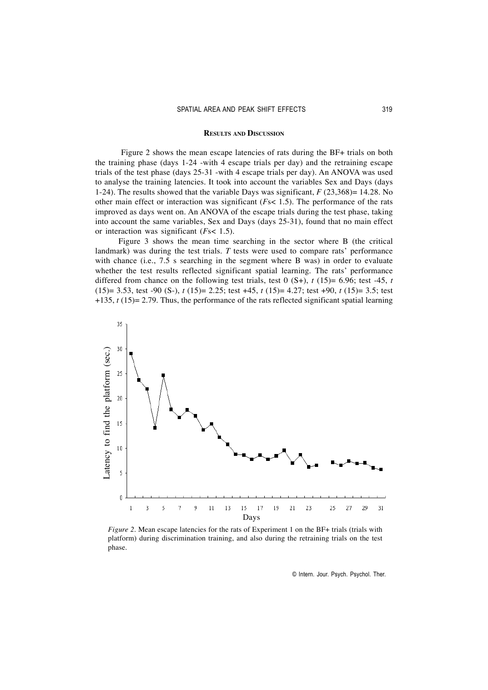#### **RESULTS AND DISCUSSION**

Figure 2 shows the mean escape latencies of rats during the BF+ trials on both the training phase (days 1-24 -with 4 escape trials per day) and the retraining escape trials of the test phase (days 25-31 -with 4 escape trials per day). An ANOVA was used to analyse the training latencies. It took into account the variables Sex and Days (days 1-24). The results showed that the variable Days was significant, *F* (23,368)= 14.28. No other main effect or interaction was significant (*F*s< 1.5). The performance of the rats improved as days went on. An ANOVA of the escape trials during the test phase, taking into account the same variables, Sex and Days (days 25-31), found that no main effect or interaction was significant (*F*s< 1.5).

Figure 3 shows the mean time searching in the sector where B (the critical landmark) was during the test trials. *T* tests were used to compare rats' performance with chance (i.e., 7.5 s searching in the segment where B was) in order to evaluate whether the test results reflected significant spatial learning. The rats' performance differed from chance on the following test trials, test 0  $(S<sup>+</sup>)$ , *t* (15)= 6.96; test -45, *t* (15)= 3.53, test -90 (S-), *t* (15)= 2.25; test +45, *t* (15)= 4.27; test +90, *t* (15)= 3.5; test +135, *t* (15)= 2.79. Thus, the performance of the rats reflected significant spatial learning



*Figure* 2. Mean escape latencies for the rats of Experiment 1 on the BF+ trials (trials with platform) during discrimination training, and also during the retraining trials on the test phase.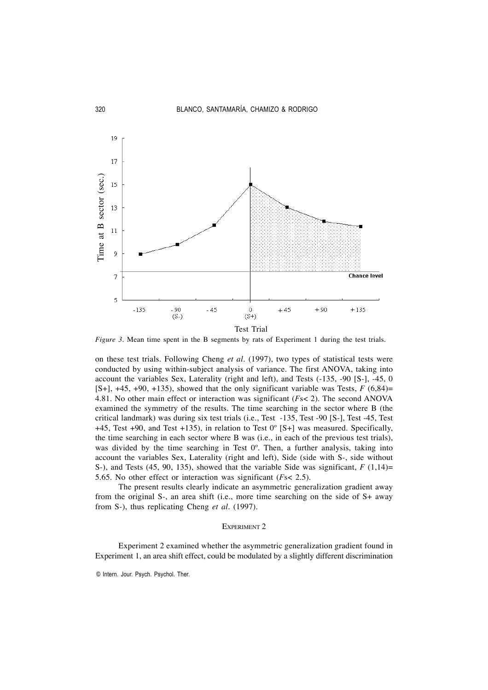

*Figure 3*. Mean time spent in the B segments by rats of Experiment 1 during the test trials.

on these test trials. Following Cheng *et al.* (1997), two types of statistical tests were conducted by using within-subject analysis of variance. The first ANOVA, taking into account the variables Sex, Laterality (right and left), and Tests (-135, -90 [S-], -45, 0  $[S+]$ ,  $+45$ ,  $+90$ ,  $+135$ ), showed that the only significant variable was Tests,  $F(6,84)$ = 4.81. No other main effect or interaction was significant (*F*s< 2). The second ANOVA examined the symmetry of the results. The time searching in the sector where B (the critical landmark) was during six test trials (i.e., Test -135, Test -90 [S-], Test -45, Test +45, Test +90, and Test +135), in relation to Test  $0^{\circ}$  [S+] was measured. Specifically, the time searching in each sector where B was (i.e., in each of the previous test trials), was divided by the time searching in Test  $0^\circ$ . Then, a further analysis, taking into account the variables Sex, Laterality (right and left), Side (side with S-, side without S-), and Tests (45, 90, 135), showed that the variable Side was significant,  $F(1,14)=$ 5.65. No other effect or interaction was significant (*F*s< 2.5).

The present results clearly indicate an asymmetric generalization gradient away from the original S-, an area shift (i.e., more time searching on the side of S+ away from S-), thus replicating Cheng *et al.* (1997).

#### EXPERIMENT 2

Experiment 2 examined whether the asymmetric generalization gradient found in Experiment 1, an area shift effect, could be modulated by a slightly different discrimination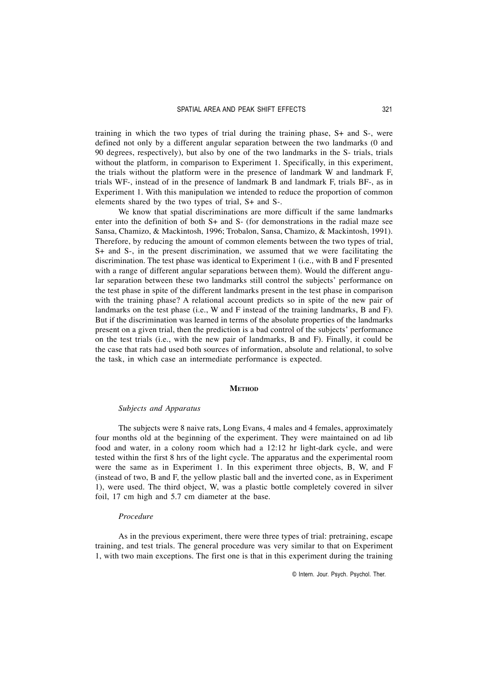training in which the two types of trial during the training phase, S+ and S-, were defined not only by a different angular separation between the two landmarks (0 and 90 degrees, respectively), but also by one of the two landmarks in the S- trials, trials without the platform, in comparison to Experiment 1. Specifically, in this experiment, the trials without the platform were in the presence of landmark W and landmark F, trials WF-, instead of in the presence of landmark B and landmark F, trials BF-, as in Experiment 1. With this manipulation we intended to reduce the proportion of common elements shared by the two types of trial, S+ and S-.

We know that spatial discriminations are more difficult if the same landmarks enter into the definition of both S+ and S- (for demonstrations in the radial maze see Sansa, Chamizo, & Mackintosh, 1996; Trobalon, Sansa, Chamizo, & Mackintosh, 1991). Therefore, by reducing the amount of common elements between the two types of trial, S+ and S-, in the present discrimination, we assumed that we were facilitating the discrimination. The test phase was identical to Experiment 1 (i.e., with B and F presented with a range of different angular separations between them). Would the different angular separation between these two landmarks still control the subjects' performance on the test phase in spite of the different landmarks present in the test phase in comparison with the training phase? A relational account predicts so in spite of the new pair of landmarks on the test phase (i.e., W and F instead of the training landmarks, B and F). But if the discrimination was learned in terms of the absolute properties of the landmarks present on a given trial, then the prediction is a bad control of the subjects' performance on the test trials (i.e., with the new pair of landmarks, B and F). Finally, it could be the case that rats had used both sources of information, absolute and relational, to solve the task, in which case an intermediate performance is expected.

#### **METHOD**

## *Subjects and Apparatus*

The subjects were 8 naive rats, Long Evans, 4 males and 4 females, approximately four months old at the beginning of the experiment. They were maintained on ad lib food and water, in a colony room which had a 12:12 hr light-dark cycle, and were tested within the first 8 hrs of the light cycle. The apparatus and the experimental room were the same as in Experiment 1. In this experiment three objects, B, W, and F (instead of two, B and F, the yellow plastic ball and the inverted cone, as in Experiment 1), were used. The third object, W, was a plastic bottle completely covered in silver foil, 17 cm high and 5.7 cm diameter at the base.

#### *Procedure*

As in the previous experiment, there were three types of trial: pretraining, escape training, and test trials. The general procedure was very similar to that on Experiment 1, with two main exceptions. The first one is that in this experiment during the training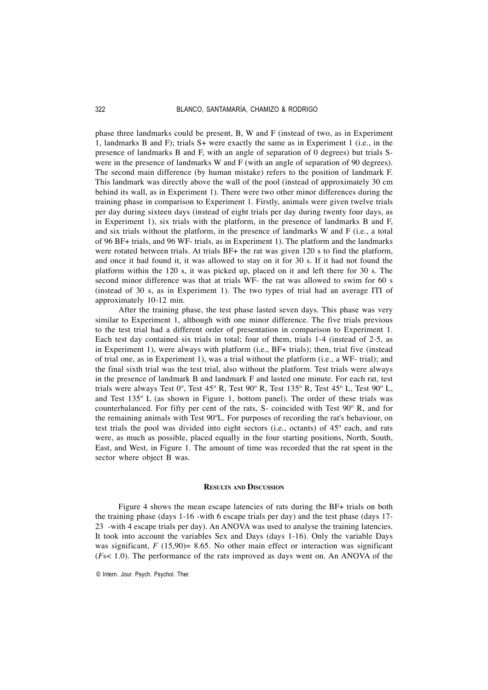phase three landmarks could be present, B, W and F (instead of two, as in Experiment 1, landmarks B and F); trials S+ were exactly the same as in Experiment 1 (i.e., in the presence of landmarks B and F, with an angle of separation of 0 degrees) but trials Swere in the presence of landmarks W and F (with an angle of separation of 90 degrees). The second main difference (by human mistake) refers to the position of landmark F. This landmark was directly above the wall of the pool (instead of approximately 30 cm behind its wall, as in Experiment 1). There were two other minor differences during the training phase in comparison to Experiment 1. Firstly, animals were given twelve trials per day during sixteen days (instead of eight trials per day during twenty four days, as in Experiment 1), six trials with the platform, in the presence of landmarks B and F, and six trials without the platform, in the presence of landmarks W and F (i.e., a total of 96 BF+ trials, and 96 WF- trials, as in Experiment 1). The platform and the landmarks were rotated between trials. At trials BF+ the rat was given 120 s to find the platform, and once it had found it, it was allowed to stay on it for 30 s. If it had not found the platform within the 120 s, it was picked up, placed on it and left there for 30 s. The second minor difference was that at trials WF- the rat was allowed to swim for 60 s (instead of 30 s, as in Experiment 1). The two types of trial had an average ITI of approximately 10-12 min.

After the training phase, the test phase lasted seven days. This phase was very similar to Experiment 1, although with one minor difference. The five trials previous to the test trial had a different order of presentation in comparison to Experiment 1. Each test day contained six trials in total; four of them, trials 1-4 (instead of 2-5, as in Experiment 1), were always with platform (i.e., BF+ trials); then, trial five (instead of trial one, as in Experiment 1), was a trial without the platform (i.e., a WF- trial); and the final sixth trial was the test trial, also without the platform. Test trials were always in the presence of landmark B and landmark F and lasted one minute. For each rat, test trials were always Test 0º, Test 45º R, Test 90º R, Test 135º R, Test 45º L, Test 90º L, and Test 135º L (as shown in Figure 1, bottom panel). The order of these trials was counterbalanced. For fifty per cent of the rats, S- coincided with Test 90º R, and for the remaining animals with Test 90ºL. For purposes of recording the rat's behaviour, on test trials the pool was divided into eight sectors (i.e., octants) of 45º each, and rats were, as much as possible, placed equally in the four starting positions, North, South, East, and West, in Figure 1. The amount of time was recorded that the rat spent in the sector where object B was.

#### **RESULTS AND DISCUSSION**

Figure 4 shows the mean escape latencies of rats during the BF+ trials on both the training phase (days 1-16 -with 6 escape trials per day) and the test phase (days 17- 23 -with 4 escape trials per day). An ANOVA was used to analyse the training latencies. It took into account the variables Sex and Days (days 1-16). Only the variable Days was significant,  $F(15,90) = 8.65$ . No other main effect or interaction was significant (*F*s< 1.0). The performance of the rats improved as days went on. An ANOVA of the

<sup>©</sup> Intern. Jour. Psych. Psychol. Ther.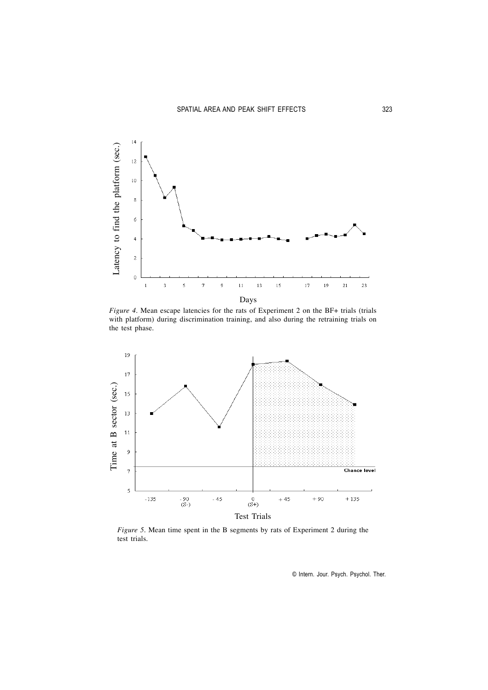

*Figure 4*. Mean escape latencies for the rats of Experiment 2 on the BF+ trials (trials with platform) during discrimination training, and also during the retraining trials on the test phase.



*Figure 5.* Mean time spent in the B segments by rats of Experiment 2 during the test trials.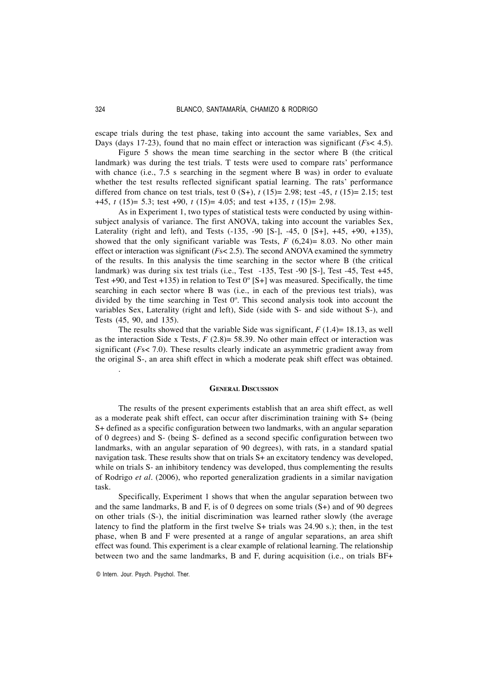escape trials during the test phase, taking into account the same variables, Sex and Days (days 17-23), found that no main effect or interaction was significant (*F*s< 4.5).

Figure 5 shows the mean time searching in the sector where B (the critical landmark) was during the test trials. T tests were used to compare rats' performance with chance (i.e., 7.5 s searching in the segment where B was) in order to evaluate whether the test results reflected significant spatial learning. The rats' performance differed from chance on test trials, test 0 (S+), *t* (15)= 2.98; test -45, *t* (15)= 2.15; test +45, *t* (15)= 5.3; test +90, *t* (15)= 4.05; and test +135, *t* (15)= 2.98.

As in Experiment 1, two types of statistical tests were conducted by using withinsubject analysis of variance. The first ANOVA, taking into account the variables Sex, Laterality (right and left), and Tests (-135, -90 [S-], -45, 0 [S+], +45, +90, +135), showed that the only significant variable was Tests,  $F(6,24)=8.03$ . No other main effect or interaction was significant (*F*s< 2.5). The second ANOVA examined the symmetry of the results. In this analysis the time searching in the sector where B (the critical landmark) was during six test trials (i.e., Test -135, Test -90 [S-], Test -45, Test +45, Test  $+90$ , and Test  $+135$ ) in relation to Test  $0^{\circ}$  [S+] was measured. Specifically, the time searching in each sector where B was (i.e., in each of the previous test trials), was divided by the time searching in Test 0º. This second analysis took into account the variables Sex, Laterality (right and left), Side (side with S- and side without S-), and Tests (45, 90, and 135).

The results showed that the variable Side was significant,  $F(1.4) = 18.13$ , as well as the interaction Side x Tests, *F* (2.8)= 58.39. No other main effect or interaction was significant (*F*s< 7.0). These results clearly indicate an asymmetric gradient away from the original S-, an area shift effect in which a moderate peak shift effect was obtained.

#### **GENERAL DISCUSSION**

The results of the present experiments establish that an area shift effect, as well as a moderate peak shift effect, can occur after discrimination training with S+ (being S+ defined as a specific configuration between two landmarks, with an angular separation of 0 degrees) and S- (being S- defined as a second specific configuration between two landmarks, with an angular separation of 90 degrees), with rats, in a standard spatial navigation task. These results show that on trials S+ an excitatory tendency was developed, while on trials S- an inhibitory tendency was developed, thus complementing the results of Rodrigo *et al*. (2006), who reported generalization gradients in a similar navigation task.

Specifically, Experiment 1 shows that when the angular separation between two and the same landmarks, B and F, is of 0 degrees on some trials (S+) and of 90 degrees on other trials (S-), the initial discrimination was learned rather slowly (the average latency to find the platform in the first twelve S+ trials was 24.90 s.); then, in the test phase, when B and F were presented at a range of angular separations, an area shift effect was found. This experiment is a clear example of relational learning. The relationship between two and the same landmarks, B and F, during acquisition (i.e., on trials BF+

© Intern. Jour. Psych. Psychol. Ther.

.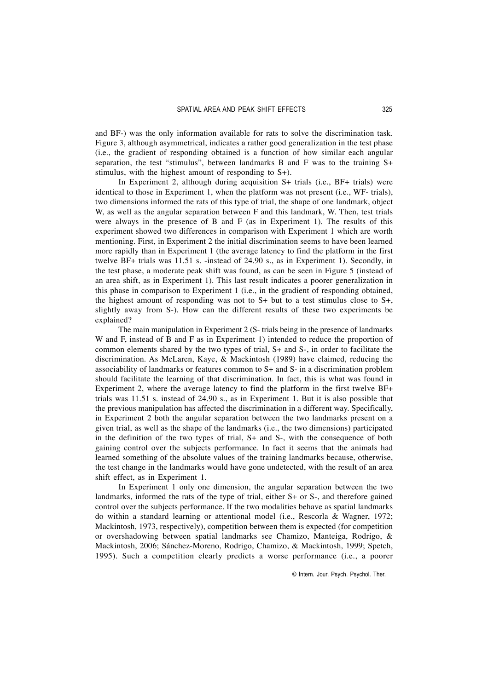and BF-) was the only information available for rats to solve the discrimination task. Figure 3, although asymmetrical, indicates a rather good generalization in the test phase (i.e., the gradient of responding obtained is a function of how similar each angular separation, the test "stimulus", between landmarks B and F was to the training S+ stimulus, with the highest amount of responding to S+).

In Experiment 2, although during acquisition S+ trials (i.e., BF+ trials) were identical to those in Experiment 1, when the platform was not present (i.e., WF- trials), two dimensions informed the rats of this type of trial, the shape of one landmark, object W, as well as the angular separation between F and this landmark, W. Then, test trials were always in the presence of B and F (as in Experiment 1). The results of this experiment showed two differences in comparison with Experiment 1 which are worth mentioning. First, in Experiment 2 the initial discrimination seems to have been learned more rapidly than in Experiment 1 (the average latency to find the platform in the first twelve BF+ trials was 11.51 s. -instead of 24.90 s., as in Experiment 1). Secondly, in the test phase, a moderate peak shift was found, as can be seen in Figure 5 (instead of an area shift, as in Experiment 1). This last result indicates a poorer generalization in this phase in comparison to Experiment 1 (i.e., in the gradient of responding obtained, the highest amount of responding was not to S+ but to a test stimulus close to S+, slightly away from S-). How can the different results of these two experiments be explained?

The main manipulation in Experiment 2 (S- trials being in the presence of landmarks W and F, instead of B and F as in Experiment 1) intended to reduce the proportion of common elements shared by the two types of trial, S+ and S-, in order to facilitate the discrimination. As McLaren, Kaye, & Mackintosh (1989) have claimed, reducing the associability of landmarks or features common to S+ and S- in a discrimination problem should facilitate the learning of that discrimination. In fact, this is what was found in Experiment 2, where the average latency to find the platform in the first twelve BF+ trials was 11.51 s. instead of 24.90 s., as in Experiment 1. But it is also possible that the previous manipulation has affected the discrimination in a different way. Specifically, in Experiment 2 both the angular separation between the two landmarks present on a given trial, as well as the shape of the landmarks (i.e., the two dimensions) participated in the definition of the two types of trial, S+ and S-, with the consequence of both gaining control over the subjects performance. In fact it seems that the animals had learned something of the absolute values of the training landmarks because, otherwise, the test change in the landmarks would have gone undetected, with the result of an area shift effect, as in Experiment 1.

In Experiment 1 only one dimension, the angular separation between the two landmarks, informed the rats of the type of trial, either S+ or S-, and therefore gained control over the subjects performance. If the two modalities behave as spatial landmarks do within a standard learning or attentional model (i.e., Rescorla & Wagner, 1972; Mackintosh, 1973, respectively), competition between them is expected (for competition or overshadowing between spatial landmarks see Chamizo, Manteiga, Rodrigo, & Mackintosh, 2006; Sánchez-Moreno, Rodrigo, Chamizo, & Mackintosh, 1999; Spetch, 1995). Such a competition clearly predicts a worse performance (i.e., a poorer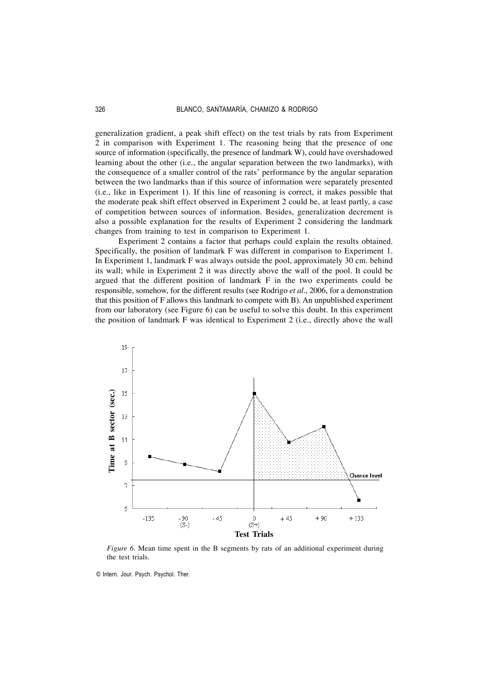generalization gradient, a peak shift effect) on the test trials by rats from Experiment 2 in comparison with Experiment 1. The reasoning being that the presence of one source of information (specifically, the presence of landmark W), could have overshadowed learning about the other (i.e., the angular separation between the two landmarks), with the consequence of a smaller control of the rats' performance by the angular separation between the two landmarks than if this source of information were separately presented (i.e., like in Experiment 1). If this line of reasoning is correct, it makes possible that the moderate peak shift effect observed in Experiment 2 could be, at least partly, a case of competition between sources of information. Besides, generalization decrement is also a possible explanation for the results of Experiment 2 considering the landmark changes from training to test in comparison to Experiment 1.

Experiment 2 contains a factor that perhaps could explain the results obtained. Specifically, the position of landmark F was different in comparison to Experiment 1. In Experiment 1, landmark F was always outside the pool, approximately 30 cm. behind its wall; while in Experiment 2 it was directly above the wall of the pool. It could be argued that the different position of landmark F in the two experiments could be responsible, somehow, for the different results (see Rodrigo *et al*., 2006, for a demonstration that this position of F allows this landmark to compete with B). An unpublished experiment from our laboratory (see Figure 6) can be useful to solve this doubt. In this experiment the position of landmark F was identical to Experiment 2 (i.e., directly above the wall



*Figure 6*. Mean time spent in the B segments by rats of an additional experiment during the test trials.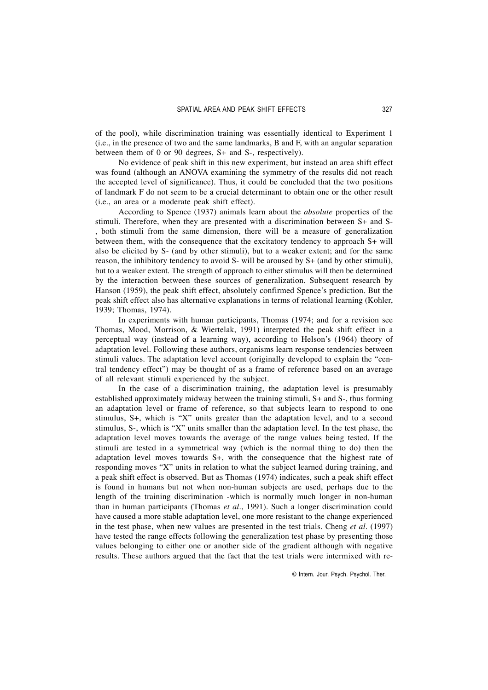of the pool), while discrimination training was essentially identical to Experiment 1 (i.e., in the presence of two and the same landmarks, B and F, with an angular separation between them of 0 or 90 degrees, S+ and S-, respectively).

No evidence of peak shift in this new experiment, but instead an area shift effect was found (although an ANOVA examining the symmetry of the results did not reach the accepted level of significance). Thus, it could be concluded that the two positions of landmark F do not seem to be a crucial determinant to obtain one or the other result (i.e., an area or a moderate peak shift effect).

According to Spence (1937) animals learn about the *absolute* properties of the stimuli. Therefore, when they are presented with a discrimination between S+ and S- , both stimuli from the same dimension, there will be a measure of generalization between them, with the consequence that the excitatory tendency to approach S+ will also be elicited by S- (and by other stimuli), but to a weaker extent; and for the same reason, the inhibitory tendency to avoid S- will be aroused by S+ (and by other stimuli), but to a weaker extent. The strength of approach to either stimulus will then be determined by the interaction between these sources of generalization. Subsequent research by Hanson (1959), the peak shift effect, absolutely confirmed Spence's prediction. But the peak shift effect also has alternative explanations in terms of relational learning (Kohler, 1939; Thomas, 1974).

In experiments with human participants, Thomas (1974; and for a revision see Thomas, Mood, Morrison, & Wiertelak, 1991) interpreted the peak shift effect in a perceptual way (instead of a learning way), according to Helson's (1964) theory of adaptation level. Following these authors, organisms learn response tendencies between stimuli values. The adaptation level account (originally developed to explain the "central tendency effect") may be thought of as a frame of reference based on an average of all relevant stimuli experienced by the subject.

In the case of a discrimination training, the adaptation level is presumably established approximately midway between the training stimuli, S+ and S-, thus forming an adaptation level or frame of reference, so that subjects learn to respond to one stimulus, S+, which is "X" units greater than the adaptation level, and to a second stimulus, S-, which is "X" units smaller than the adaptation level. In the test phase, the adaptation level moves towards the average of the range values being tested. If the stimuli are tested in a symmetrical way (which is the normal thing to do) then the adaptation level moves towards  $S<sub>+</sub>$ , with the consequence that the highest rate of responding moves "X" units in relation to what the subject learned during training, and a peak shift effect is observed. But as Thomas (1974) indicates, such a peak shift effect is found in humans but not when non-human subjects are used, perhaps due to the length of the training discrimination -which is normally much longer in non-human than in human participants (Thomas *et al.*, 1991). Such a longer discrimination could have caused a more stable adaptation level, one more resistant to the change experienced in the test phase, when new values are presented in the test trials. Cheng *et al.* (1997) have tested the range effects following the generalization test phase by presenting those values belonging to either one or another side of the gradient although with negative results. These authors argued that the fact that the test trials were intermixed with re-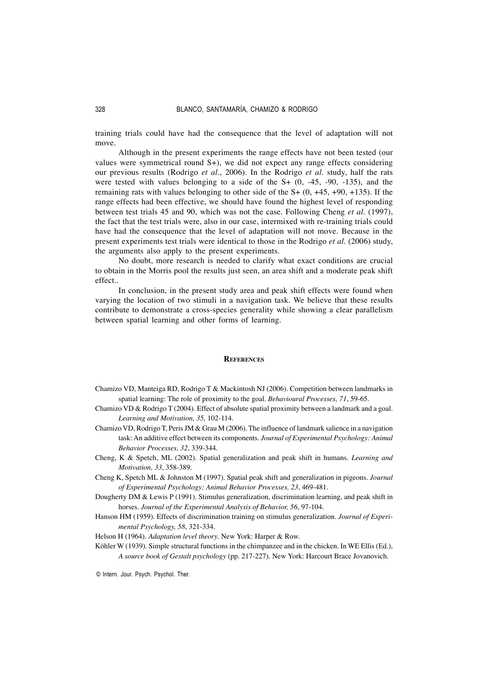training trials could have had the consequence that the level of adaptation will not move.

Although in the present experiments the range effects have not been tested (our values were symmetrical round S+), we did not expect any range effects considering our previous results (Rodrigo *et al.*, 2006). In the Rodrigo *et al.* study, half the rats were tested with values belonging to a side of the S+ (0, -45, -90, -135), and the remaining rats with values belonging to other side of the  $S+(0, +45, +90, +135)$ . If the range effects had been effective, we should have found the highest level of responding between test trials 45 and 90, which was not the case. Following Cheng *et al.* (1997), the fact that the test trials were, also in our case, intermixed with re-training trials could have had the consequence that the level of adaptation will not move. Because in the present experiments test trials were identical to those in the Rodrigo *et al.* (2006) study, the arguments also apply to the present experiments.

No doubt, more research is needed to clarify what exact conditions are crucial to obtain in the Morris pool the results just seen, an area shift and a moderate peak shift effect..

In conclusion, in the present study area and peak shift effects were found when varying the location of two stimuli in a navigation task. We believe that these results contribute to demonstrate a cross-species generality while showing a clear parallelism between spatial learning and other forms of learning.

#### **REFERENCES**

- Chamizo VD, Manteiga RD, Rodrigo T & Mackintosh NJ (2006). Competition between landmarks in spatial learning: The role of proximity to the goal. *Behavioural Processes, 71*, 59-65.
- Chamizo VD & Rodrigo T (2004). Effect of absolute spatial proximity between a landmark and a goal. *Learning and Motivation, 35,* 102-114.
- Chamizo VD, Rodrigo T, Peris JM & Grau M (2006). The influence of landmark salience in a navigation task: An additive effect between its components. *Journal of Experimental Psychology: Animal Behavior Processes, 32*, 339-344.
- Cheng, K & Spetch, ML (2002). Spatial generalization and peak shift in humans. *Learning and Motivation, 33*, 358-389.
- Cheng K, Spetch ML & Johnston M (1997). Spatial peak shift and generalization in pigeons. *Journal of Experimental Psychology: Animal Behavior Processes, 23*, 469-481.
- Dougherty DM & Lewis P (1991). Stimulus generalization, discrimination learning, and peak shift in horses. *Journal of the Experimental Analysis of Behavior, 56*, 97-104.
- Hanson HM (1959). Effects of discrimination training on stimulus generalization. *Journal of Experimental Psychology, 58*, 321-334.
- Helson H (1964). *Adaptation level theory*. New York: Harper & Row.
- Köhler W (1939). Simple structural functions in the chimpanzee and in the chicken. In WE Ellis (Ed.), *A source book of Gestalt psychology* (pp. 217-227). New York: Harcourt Brace Jovanovich.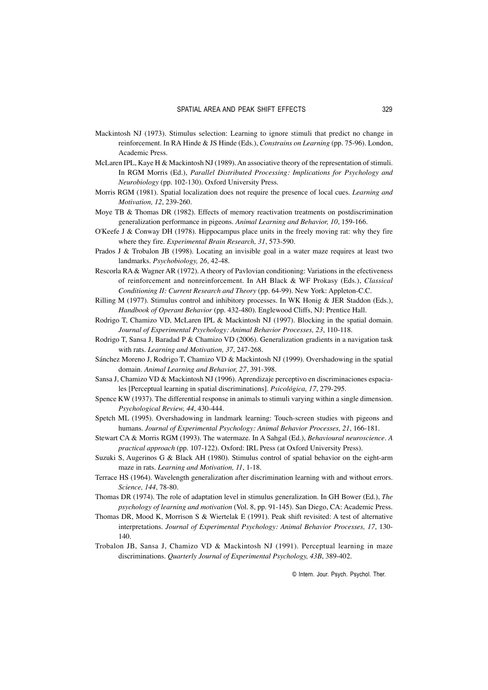- Mackintosh NJ (1973). Stimulus selection: Learning to ignore stimuli that predict no change in reinforcement. In RA Hinde & JS Hinde (Eds.), *Constrains on Learning* (pp. 75-96). London, Academic Press.
- McLaren IPL, Kaye H & Mackintosh NJ (1989). An associative theory of the representation of stimuli. In RGM Morris (Ed.), *Parallel Distributed Processing: Implications for Psychology and Neurobiology* (pp. 102-130). Oxford University Press.
- Morris RGM (1981). Spatial localization does not require the presence of local cues. *Learning and Motivation, 12*, 239-260.
- Moye TB & Thomas DR (1982). Effects of memory reactivation treatments on postdiscrimination generalization performance in pigeons. *Animal Learning and Behavior, 10*, 159-166.
- O'Keefe J & Conway DH (1978). Hippocampus place units in the freely moving rat: why they fire where they fire. *Experimental Brain Research, 31*, 573-590.
- Prados J & Trobalon JB (1998). Locating an invisible goal in a water maze requires at least two landmarks. *Psychobiology, 26*, 42-48.
- Rescorla RA & Wagner AR (1972). A theory of Pavlovian conditioning: Variations in the efectiveness of reinforcement and nonreinforcement. In AH Black & WF Prokasy (Eds.), *Classical Conditioning II: Current Research and Theory* (pp. 64-99). New York: Appleton-C.C.
- Rilling M (1977). Stimulus control and inhibitory processes. In WK Honig & JER Staddon (Eds.), *Handbook of Operant Behavior* (pp. 432-480). Englewood Cliffs, NJ: Prentice Hall.
- Rodrigo T, Chamizo VD, McLaren IPL & Mackintosh NJ (1997). Blocking in the spatial domain. *Journal of Experimental Psychology: Animal Behavior Processes, 23*, 110-118.
- Rodrigo T, Sansa J, Baradad P & Chamizo VD (2006). Generalization gradients in a navigation task with rats. *Learning and Motivation, 37*, 247-268.
- Sánchez Moreno J, Rodrigo T, Chamizo VD & Mackintosh NJ (1999). Overshadowing in the spatial domain. *Animal Learning and Behavior, 27*, 391-398.
- Sansa J, Chamizo VD & Mackintosh NJ (1996). Aprendizaje perceptivo en discriminaciones espaciales [Perceptual learning in spatial discriminations]. *Psicológica, 17*, 279-295.
- Spence KW (1937). The differential response in animals to stimuli varying within a single dimension. *Psychological Review, 44*, 430-444.
- Spetch ML (1995). Overshadowing in landmark learning: Touch-screen studies with pigeons and humans. *Journal of Experimental Psychology: Animal Behavior Processes, 21*, 166-181.
- Stewart CA & Morris RGM (1993). The watermaze. In A Sahgal (Ed.), *Behavioural neuroscience. A practical approach* (pp. 107-122). Oxford: IRL Press (at Oxford University Press).
- Suzuki S, Augerinos G & Black AH (1980). Stimulus control of spatial behavior on the eight-arm maze in rats. *Learning and Motivation, 11*, 1-18.
- Terrace HS (1964). Wavelength generalization after discrimination learning with and without errors. *Science, 144*, 78-80.
- Thomas DR (1974). The role of adaptation level in stimulus generalization. In GH Bower (Ed.), *The psychology of learning and motivation* (Vol. 8, pp. 91-145). San Diego, CA: Academic Press.
- Thomas DR, Mood K, Morrison S & Wiertelak E (1991). Peak shift revisited: A test of alternative interpretations. *Journal of Experimental Psychology: Animal Behavior Processes, 17*, 130- 140.
- Trobalon JB, Sansa J, Chamizo VD & Mackintosh NJ (1991). Perceptual learning in maze discriminations. *Quarterly Journal of Experimental Psychology, 43B*, 389-402.